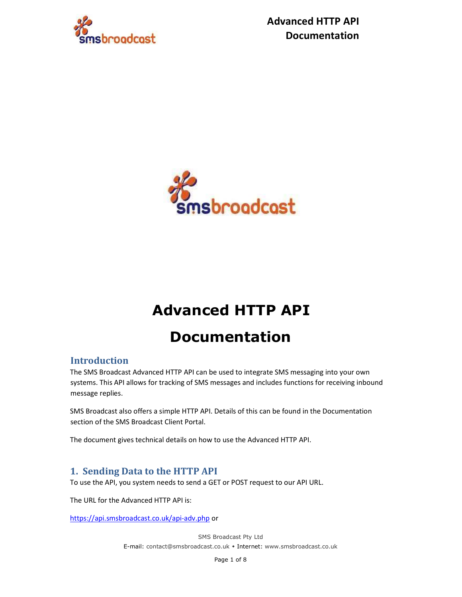

 Advanced HTTP API Documentation



# Advanced HTTP API

# Documentation

## Introduction

The SMS Broadcast Advanced HTTP API can be used to integrate SMS messaging into your own systems. This API allows for tracking of SMS messages and includes functions for receiving inbound message replies.

SMS Broadcast also offers a simple HTTP API. Details of this can be found in the Documentation section of the SMS Broadcast Client Portal.

The document gives technical details on how to use the Advanced HTTP API.

## 1. Sending Data to the HTTP API

To use the API, you system needs to send a GET or POST request to our API URL.

The URL for the Advanced HTTP API is:

https://api.smsbroadcast.co.uk/api-adv.php or

SMS Broadcast Pty Ltd E-mail: contact@smsbroadcast.co.uk • Internet: www.smsbroadcast.co.uk

Page 1 of 8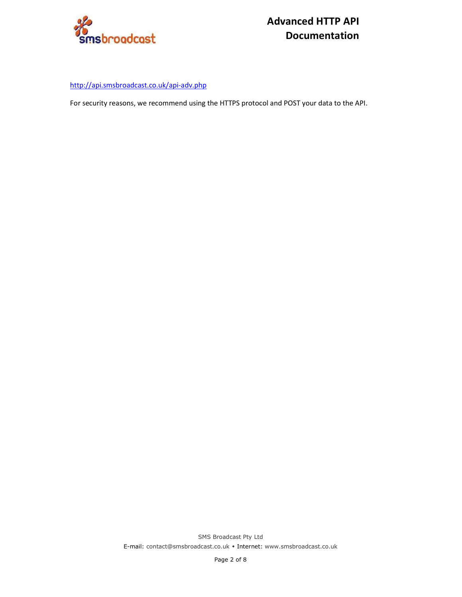

http://api.smsbroadcast.co.uk/api-adv.php

For security reasons, we recommend using the HTTPS protocol and POST your data to the API.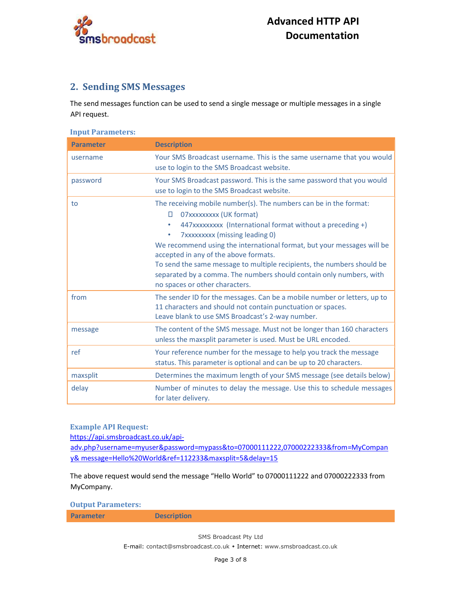

## 2. Sending SMS Messages

The send messages function can be used to send a single message or multiple messages in a single API request.

Input Parameters:

| <b>Parameter</b> | <b>Description</b>                                                                                                                                                                                                                                                                                                                                                                                                                                                                                                     |
|------------------|------------------------------------------------------------------------------------------------------------------------------------------------------------------------------------------------------------------------------------------------------------------------------------------------------------------------------------------------------------------------------------------------------------------------------------------------------------------------------------------------------------------------|
| username         | Your SMS Broadcast username. This is the same username that you would<br>use to login to the SMS Broadcast website.                                                                                                                                                                                                                                                                                                                                                                                                    |
| password         | Your SMS Broadcast password. This is the same password that you would<br>use to login to the SMS Broadcast website.                                                                                                                                                                                                                                                                                                                                                                                                    |
| to               | The receiving mobile number(s). The numbers can be in the format:<br>07xxxxxxxx (UK format)<br>П.<br>447xxxxxxxx (International format without a preceding +)<br>$\bullet$<br>7xxxxxxxx (missing leading 0)<br>۰<br>We recommend using the international format, but your messages will be<br>accepted in any of the above formats.<br>To send the same message to multiple recipients, the numbers should be<br>separated by a comma. The numbers should contain only numbers, with<br>no spaces or other characters. |
| from             | The sender ID for the messages. Can be a mobile number or letters, up to<br>11 characters and should not contain punctuation or spaces.<br>Leave blank to use SMS Broadcast's 2-way number.                                                                                                                                                                                                                                                                                                                            |
| message          | The content of the SMS message. Must not be longer than 160 characters<br>unless the maxsplit parameter is used. Must be URL encoded.                                                                                                                                                                                                                                                                                                                                                                                  |
| ref              | Your reference number for the message to help you track the message<br>status. This parameter is optional and can be up to 20 characters.                                                                                                                                                                                                                                                                                                                                                                              |
| maxsplit         | Determines the maximum length of your SMS message (see details below)                                                                                                                                                                                                                                                                                                                                                                                                                                                  |
| delay            | Number of minutes to delay the message. Use this to schedule messages<br>for later delivery.                                                                                                                                                                                                                                                                                                                                                                                                                           |

Example API Request:

https://api.smsbroadcast.co.uk/api-

adv.php?username=myuser&password=mypass&to=07000111222,07000222333&from=MyCompan y& message=Hello%20World&ref=112233&maxsplit=5&delay=15

The above request would send the message "Hello World" to 07000111222 and 07000222333 from MyCompany.

Output Parameters:

Parameter Description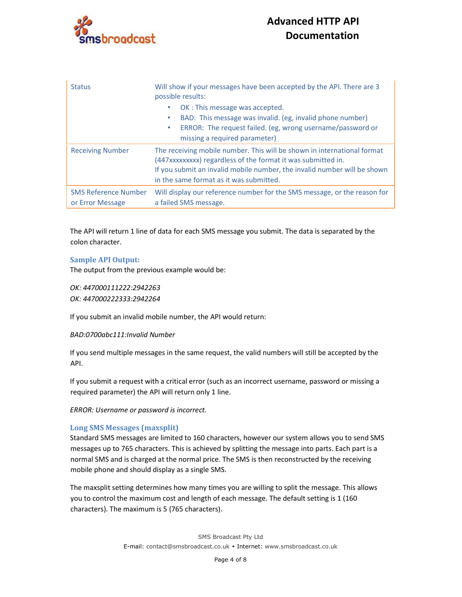

| <b>Status</b>                                   | Will show if your messages have been accepted by the API. There are 3<br>possible results:                                                                                                                                                                     |
|-------------------------------------------------|----------------------------------------------------------------------------------------------------------------------------------------------------------------------------------------------------------------------------------------------------------------|
|                                                 | OK: This message was accepted.<br>BAD: This message was invalid. (eg, invalid phone number)<br>۰<br>ERROR: The request failed. (eg, wrong username/password or<br>٠<br>missing a required parameter)                                                           |
| <b>Receiving Number</b>                         | The receiving mobile number. This will be shown in international format<br>(447xxxxxxxxx) regardless of the format it was submitted in.<br>If you submit an invalid mobile number, the invalid number will be shown<br>in the same format as it was submitted. |
| <b>SMS Reference Number</b><br>or Error Message | Will display our reference number for the SMS message, or the reason for<br>a failed SMS message.                                                                                                                                                              |

The API will return 1 line of data for each SMS message you submit. The data is separated by the colon character.

#### Sample API Output:

The output from the previous example would be:

OK: 447000111222:2942263 OK: 447000222333:2942264

If you submit an invalid mobile number, the API would return:

#### BAD:0700abc111:Invalid Number

If you send multiple messages in the same request, the valid numbers will still be accepted by the API.

If you submit a request with a critical error (such as an incorrect username, password or missing a required parameter) the API will return only 1 line.

ERROR: Username or password is incorrect.

#### Long SMS Messages (maxsplit)

Standard SMS messages are limited to 160 characters, however our system allows you to send SMS messages up to 765 characters. This is achieved by splitting the message into parts. Each part is a normal SMS and is charged at the normal price. The SMS is then reconstructed by the receiving mobile phone and should display as a single SMS.

The maxsplit setting determines how many times you are willing to split the message. This allows you to control the maximum cost and length of each message. The default setting is 1 (160 characters). The maximum is 5 (765 characters).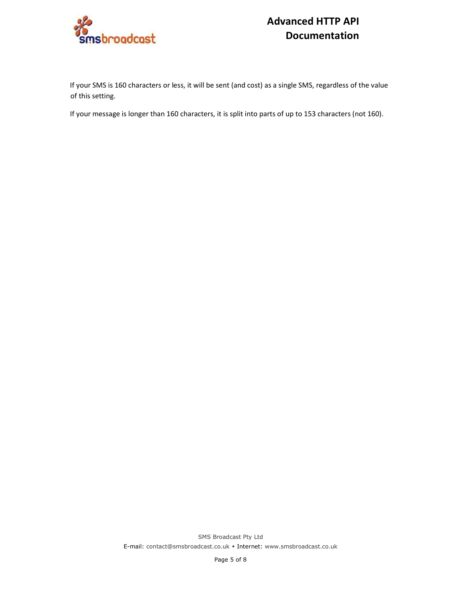

If your SMS is 160 characters or less, it will be sent (and cost) as a single SMS, regardless of the value of this setting.

If your message is longer than 160 characters, it is split into parts of up to 153 characters (not 160).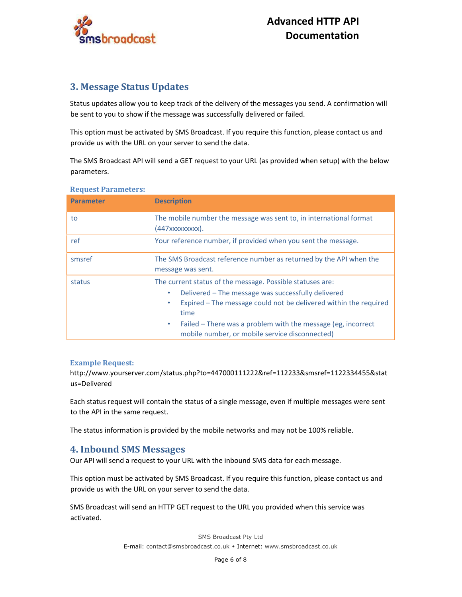

## 3. Message Status Updates

Status updates allow you to keep track of the delivery of the messages you send. A confirmation will be sent to you to show if the message was successfully delivered or failed.

This option must be activated by SMS Broadcast. If you require this function, please contact us and provide us with the URL on your server to send the data.

The SMS Broadcast API will send a GET request to your URL (as provided when setup) with the below parameters.

| <b>Parameter</b> | <b>Description</b>                                                                                                                                                                                                                                                                                                         |
|------------------|----------------------------------------------------------------------------------------------------------------------------------------------------------------------------------------------------------------------------------------------------------------------------------------------------------------------------|
| to               | The mobile number the message was sent to, in international format<br>(447xxxxxxxxx).                                                                                                                                                                                                                                      |
| ref              | Your reference number, if provided when you sent the message.                                                                                                                                                                                                                                                              |
| smsref           | The SMS Broadcast reference number as returned by the API when the<br>message was sent.                                                                                                                                                                                                                                    |
| status           | The current status of the message. Possible statuses are:<br>Delivered – The message was successfully delivered<br>Expired - The message could not be delivered within the required<br>time<br>Failed – There was a problem with the message (eg, incorrect<br>$\bullet$<br>mobile number, or mobile service disconnected) |

#### Request Parameters:

### Example Request:

http://www.yourserver.com/status.php?to=447000111222&ref=112233&smsref=1122334455&stat us=Delivered

Each status request will contain the status of a single message, even if multiple messages were sent to the API in the same request.

The status information is provided by the mobile networks and may not be 100% reliable.

## 4. Inbound SMS Messages

Our API will send a request to your URL with the inbound SMS data for each message.

This option must be activated by SMS Broadcast. If you require this function, please contact us and provide us with the URL on your server to send the data.

SMS Broadcast will send an HTTP GET request to the URL you provided when this service was activated.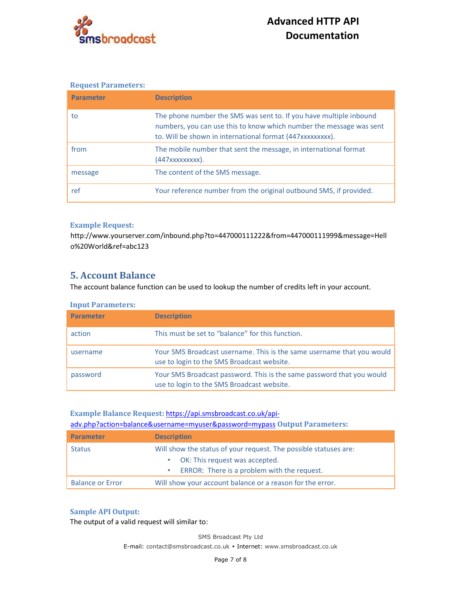

#### Request Parameters:

| <b>Parameter</b> | <b>Description</b>                                                                                                                                                                                    |
|------------------|-------------------------------------------------------------------------------------------------------------------------------------------------------------------------------------------------------|
| to               | The phone number the SMS was sent to. If you have multiple inbound<br>numbers, you can use this to know which number the message was sent<br>to. Will be shown in international format (447xxxxxxxx). |
| from             | The mobile number that sent the message, in international format<br>(447xxxxxxxxx).                                                                                                                   |
| message          | The content of the SMS message.                                                                                                                                                                       |
| ref              | Your reference number from the original outbound SMS, if provided.                                                                                                                                    |

#### Example Request:

http://www.yourserver.com/inbound.php?to=447000111222&from=447000111999&message=Hell o%20World&ref=abc123

## 5. Account Balance

The account balance function can be used to lookup the number of credits left in your account.

| <b>Input Parameters:</b> |                                                                                                                     |
|--------------------------|---------------------------------------------------------------------------------------------------------------------|
| <b>Parameter</b>         | <b>Description</b>                                                                                                  |
| action                   | This must be set to "balance" for this function.                                                                    |
| username                 | Your SMS Broadcast username. This is the same username that you would<br>use to login to the SMS Broadcast website. |
| password                 | Your SMS Broadcast password. This is the same password that you would<br>use to login to the SMS Broadcast website. |

### Example Balance Request: https://api.smsbroadcast.co.uk/api-

adv.php?action=balance&username=myuser&password=mypass Output Parameters:

| <b>Parameter</b>        | <b>Description</b>                                               |
|-------------------------|------------------------------------------------------------------|
| <b>Status</b>           | Will show the status of your request. The possible statuses are: |
|                         | • OK: This request was accepted.                                 |
|                         | ERROR: There is a problem with the request.<br>۰                 |
| <b>Balance or Error</b> | Will show your account balance or a reason for the error.        |

#### Sample API Output:

The output of a valid request will similar to:

SMS Broadcast Pty Ltd E-mail: contact@smsbroadcast.co.uk • Internet: www.smsbroadcast.co.uk